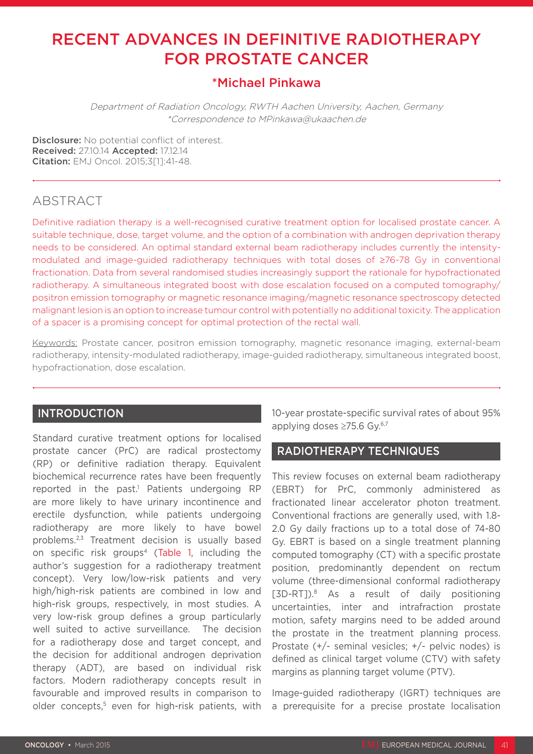# RECENT ADVANCES IN DEFINITIVE RADIOTHERAPY FOR PROSTATE CANCER

# \*Michael Pinkawa

Department of Radiation Oncology, RWTH Aachen University, Aachen, Germany \*Correspondence to MPinkawa@ukaachen.de

Disclosure: No potential conflict of interest. Received: 27.10.14 Accepted: 17.12.14 Citation: EMJ Oncol. 2015;3[1]:41-48.

# ABSTRACT

Definitive radiation therapy is a well-recognised curative treatment option for localised prostate cancer. A suitable technique, dose, target volume, and the option of a combination with androgen deprivation therapy needs to be considered. An optimal standard external beam radiotherapy includes currently the intensitymodulated and image-guided radiotherapy techniques with total doses of ≥76-78 Gy in conventional fractionation. Data from several randomised studies increasingly support the rationale for hypofractionated radiotherapy. A simultaneous integrated boost with dose escalation focused on a computed tomography/ positron emission tomography or magnetic resonance imaging/magnetic resonance spectroscopy detected malignant lesion is an option to increase tumour control with potentially no additional toxicity. The application of a spacer is a promising concept for optimal protection of the rectal wall.

Keywords: Prostate cancer, positron emission tomography, magnetic resonance imaging, external-beam radiotherapy, intensity-modulated radiotherapy, image-guided radiotherapy, simultaneous integrated boost, hypofractionation, dose escalation.

## INTRODUCTION

Standard curative treatment options for localised prostate cancer (PrC) are radical prostectomy (RP) or definitive radiation therapy. Equivalent biochemical recurrence rates have been frequently reported in the past.<sup>1</sup> Patients undergoing RP are more likely to have urinary incontinence and erectile dysfunction, while patients undergoing radiotherapy are more likely to have bowel problems.2,3 Treatment decision is usually based on specific risk groups<sup>4</sup> (Table 1, including the author's suggestion for a radiotherapy treatment concept). Very low/low-risk patients and very high/high-risk patients are combined in low and high-risk groups, respectively, in most studies. A very low-risk group defines a group particularly well suited to active surveillance. The decision for a radiotherapy dose and target concept, and the decision for additional androgen deprivation therapy (ADT), are based on individual risk factors. Modern radiotherapy concepts result in favourable and improved results in comparison to older concepts,<sup>5</sup> even for high-risk patients, with

10-year prostate-specific survival rates of about 95% applying doses ≥75.6 Gy.6,7

## RADIOTHERAPY TECHNIQUES

This review focuses on external beam radiotherapy (EBRT) for PrC, commonly administered as fractionated linear accelerator photon treatment. Conventional fractions are generally used, with 1.8- 2.0 Gy daily fractions up to a total dose of 74-80 Gy. EBRT is based on a single treatment planning computed tomography (CT) with a specific prostate position, predominantly dependent on rectum volume (three-dimensional conformal radiotherapy [3D-RT]).8 As a result of daily positioning uncertainties, inter and intrafraction prostate motion, safety margins need to be added around the prostate in the treatment planning process. Prostate (+/- seminal vesicles; +/- pelvic nodes) is defined as clinical target volume (CTV) with safety margins as planning target volume (PTV).

Image-guided radiotherapy (IGRT) techniques are a prerequisite for a precise prostate localisation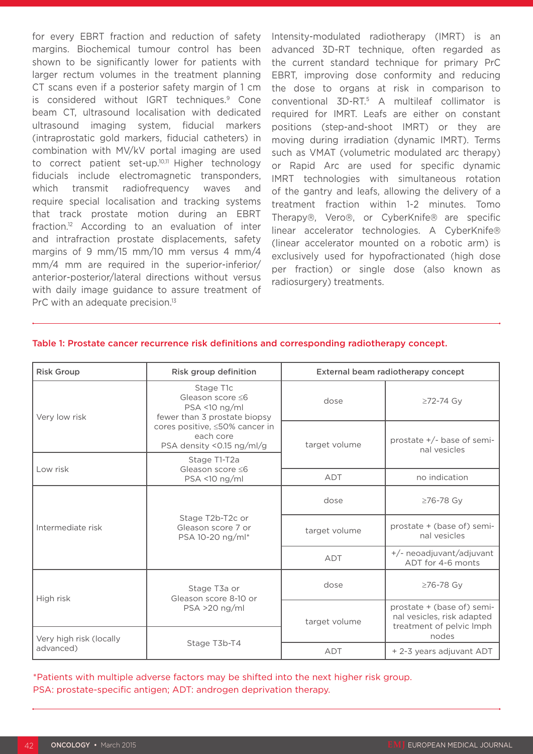for every EBRT fraction and reduction of safety margins. Biochemical tumour control has been shown to be significantly lower for patients with larger rectum volumes in the treatment planning CT scans even if a posterior safety margin of 1 cm is considered without IGRT techniques.<sup>9</sup> Cone beam CT, ultrasound localisation with dedicated ultrasound imaging system, fiducial markers (intraprostatic gold markers, fiducial catheters) in combination with MV/kV portal imaging are used to correct patient set-up.<sup>10,11</sup> Higher technology fiducials include electromagnetic transponders, which transmit radiofrequency waves and require special localisation and tracking systems that track prostate motion during an EBRT fraction.12 According to an evaluation of inter and intrafraction prostate displacements, safety margins of 9 mm/15 mm/10 mm versus 4 mm/4 mm/4 mm are required in the superior-inferior/ anterior-posterior/lateral directions without versus with daily image guidance to assure treatment of PrC with an adequate precision.<sup>13</sup>

Intensity-modulated radiotherapy (IMRT) is an advanced 3D-RT technique, often regarded as the current standard technique for primary PrC EBRT, improving dose conformity and reducing the dose to organs at risk in comparison to conventional 3D-RT.5 A multileaf collimator is required for IMRT. Leafs are either on constant positions (step-and-shoot IMRT) or they are moving during irradiation (dynamic IMRT). Terms such as VMAT (volumetric modulated arc therapy) or Rapid Arc are used for specific dynamic IMRT technologies with simultaneous rotation of the gantry and leafs, allowing the delivery of a treatment fraction within 1-2 minutes. Tomo Therapy®, Vero®, or CyberKnife® are specific linear accelerator technologies. A CyberKnife® (linear accelerator mounted on a robotic arm) is exclusively used for hypofractionated (high dose per fraction) or single dose (also known as radiosurgery) treatments.

| <b>Risk Group</b>                    | Risk group definition                                                                                                                                        | External beam radiotherapy concept |                                                                                      |  |
|--------------------------------------|--------------------------------------------------------------------------------------------------------------------------------------------------------------|------------------------------------|--------------------------------------------------------------------------------------|--|
| Very low risk                        | Stage T1c<br>Gleason score ≤6<br>$PSA$ <10 ng/ml<br>fewer than 3 prostate biopsy<br>cores positive, ≤50% cancer in<br>each core<br>PSA density <0.15 ng/ml/g | dose                               | ≥72-74 Gy                                                                            |  |
|                                      |                                                                                                                                                              | target volume                      | prostate $+/-$ base of semi-<br>nal vesicles                                         |  |
| Low risk                             | Stage T1-T2a<br>Gleason score $\leq 6$<br>PSA <10 ng/ml                                                                                                      |                                    |                                                                                      |  |
|                                      |                                                                                                                                                              | <b>ADT</b>                         | no indication                                                                        |  |
| Intermediate risk                    | Stage T2b-T2c or<br>Gleason score 7 or<br>PSA 10-20 ng/ml*                                                                                                   | dose                               | ≥76-78 Gy                                                                            |  |
|                                      |                                                                                                                                                              | target volume                      | prostate + (base of) semi-<br>nal vesicles                                           |  |
|                                      |                                                                                                                                                              | <b>ADT</b>                         | +/- neoadjuvant/adjuvant<br>ADT for 4-6 monts                                        |  |
| High risk                            | Stage T3a or<br>Gleason score 8-10 or<br>$PSA > 20$ ng/ml<br>Stage T3b-T4                                                                                    | dose                               | ≥76-78 Gy                                                                            |  |
|                                      |                                                                                                                                                              | target volume                      | prostate + (base of) semi-<br>nal vesicles, risk adapted<br>treatment of pelvic Imph |  |
| Very high risk (locally<br>advanced) |                                                                                                                                                              |                                    | nodes                                                                                |  |
|                                      |                                                                                                                                                              | <b>ADT</b>                         | + 2-3 years adjuvant ADT                                                             |  |

#### Table 1: Prostate cancer recurrence risk definitions and corresponding radiotherapy concept.

\*Patients with multiple adverse factors may be shifted into the next higher risk group. PSA: prostate-specific antigen; ADT: androgen deprivation therapy.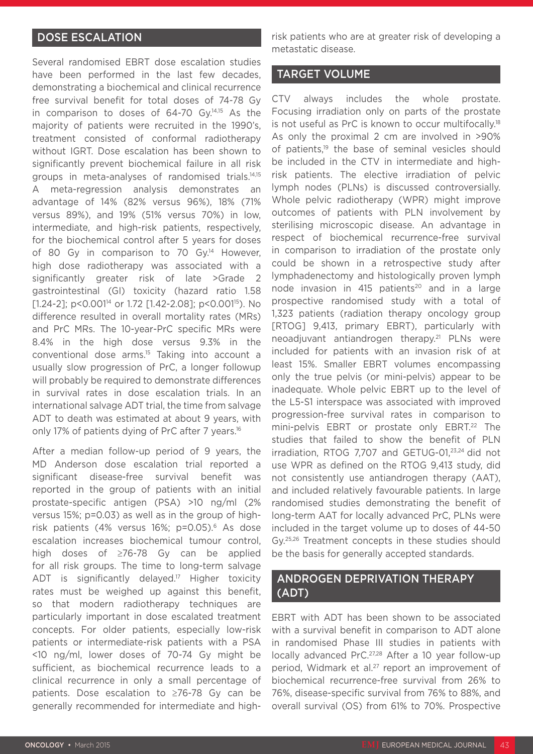## DOSE ESCALATION

Several randomised EBRT dose escalation studies have been performed in the last few decades, demonstrating a biochemical and clinical recurrence free survival benefit for total doses of 74-78 Gy in comparison to doses of 64-70 Gy.<sup>14,15</sup> As the majority of patients were recruited in the 1990's, treatment consisted of conformal radiotherapy without IGRT. Dose escalation has been shown to significantly prevent biochemical failure in all risk groups in meta-analyses of randomised trials.14,15 A meta-regression analysis demonstrates an advantage of 14% (82% versus 96%), 18% (71% versus 89%), and 19% (51% versus 70%) in low, intermediate, and high-risk patients, respectively, for the biochemical control after 5 years for doses of 80 Gy in comparison to 70 Gy.<sup>14</sup> However, high dose radiotherapy was associated with a significantly greater risk of late >Grade 2 gastrointestinal (GI) toxicity (hazard ratio 1.58 [1.24-2]; p<0.001<sup>14</sup> or 1.72 [1.42-2.08]; p<0.001<sup>15</sup>). No difference resulted in overall mortality rates (MRs) and PrC MRs. The 10-year-PrC specific MRs were 8.4% in the high dose versus 9.3% in the conventional dose arms.15 Taking into account a usually slow progression of PrC, a longer followup will probably be required to demonstrate differences in survival rates in dose escalation trials. In an international salvage ADT trial, the time from salvage ADT to death was estimated at about 9 years, with only 17% of patients dying of PrC after 7 years.<sup>16</sup>

After a median follow-up period of 9 years, the MD Anderson dose escalation trial reported a significant disease-free survival benefit was reported in the group of patients with an initial prostate-specific antigen (PSA) >10 ng/ml (2% versus 15%; p=0.03) as well as in the group of highrisk patients (4% versus 16%; p=0.05).<sup>6</sup> As dose escalation increases biochemical tumour control, high doses of ≥76-78 Gy can be applied for all risk groups. The time to long-term salvage ADT is significantly delayed.<sup>17</sup> Higher toxicity rates must be weighed up against this benefit, so that modern radiotherapy techniques are particularly important in dose escalated treatment concepts. For older patients, especially low-risk patients or intermediate-risk patients with a PSA <10 ng/ml, lower doses of 70-74 Gy might be sufficient, as biochemical recurrence leads to a clinical recurrence in only a small percentage of patients. Dose escalation to ≥76-78 Gy can be generally recommended for intermediate and highrisk patients who are at greater risk of developing a metastatic disease.

### TARGET VOLUME

CTV always includes the whole prostate. Focusing irradiation only on parts of the prostate is not useful as PrC is known to occur multifocally.18 As only the proximal 2 cm are involved in >90% of patients,<sup>19</sup> the base of seminal vesicles should be included in the CTV in intermediate and highrisk patients. The elective irradiation of pelvic lymph nodes (PLNs) is discussed controversially. Whole pelvic radiotherapy (WPR) might improve outcomes of patients with PLN involvement by sterilising microscopic disease. An advantage in respect of biochemical recurrence-free survival in comparison to irradiation of the prostate only could be shown in a retrospective study after lymphadenectomy and histologically proven lymph node invasion in 415 patients<sup>20</sup> and in a large prospective randomised study with a total of 1,323 patients (radiation therapy oncology group [RTOG] 9,413, primary EBRT), particularly with neoadjuvant antiandrogen therapy.<sup>21</sup> PLNs were included for patients with an invasion risk of at least 15%. Smaller EBRT volumes encompassing only the true pelvis (or mini-pelvis) appear to be inadequate. Whole pelvic EBRT up to the level of the L5-S1 interspace was associated with improved progression-free survival rates in comparison to mini-pelvis EBRT or prostate only EBRT.<sup>22</sup> The studies that failed to show the benefit of PLN irradiation, RTOG 7,707 and GETUG-01,23,24 did not use WPR as defined on the RTOG 9,413 study, did not consistently use antiandrogen therapy (AAT), and included relatively favourable patients. In large randomised studies demonstrating the benefit of long-term AAT for locally advanced PrC, PLNs were included in the target volume up to doses of 44-50 Gy.25,26 Treatment concepts in these studies should be the basis for generally accepted standards.

## ANDROGEN DEPRIVATION THERAPY (ADT)

EBRT with ADT has been shown to be associated with a survival benefit in comparison to ADT alone in randomised Phase III studies in patients with locally advanced PrC.27,28 After a 10 year follow-up period, Widmark et al.<sup>27</sup> report an improvement of biochemical recurrence-free survival from 26% to 76%, disease-specific survival from 76% to 88%, and overall survival (OS) from 61% to 70%. Prospective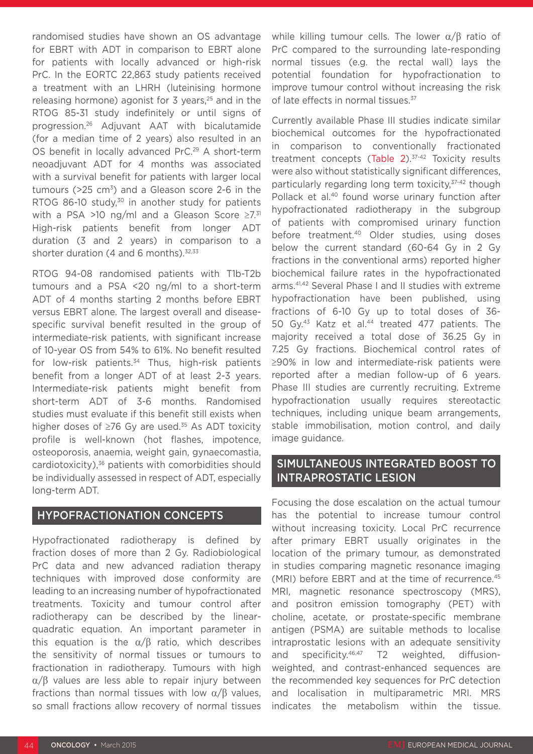randomised studies have shown an OS advantage for EBRT with ADT in comparison to EBRT alone for patients with locally advanced or high-risk PrC. In the EORTC 22,863 study patients received a treatment with an LHRH (luteinising hormone releasing hormone) agonist for 3 years,<sup>25</sup> and in the RTOG 85-31 study indefinitely or until signs of progression.26 Adjuvant AAT with bicalutamide (for a median time of 2 years) also resulted in an OS benefit in locally advanced PrC.<sup>29</sup> A short-term neoadjuvant ADT for 4 months was associated with a survival benefit for patients with larger local tumours ( $>25$  cm<sup>3</sup>) and a Gleason score 2-6 in the RTOG 86-10 study, $30$  in another study for patients with a PSA >10 ng/ml and a Gleason Score  $\geq 7.31$ High-risk patients benefit from longer ADT duration (3 and 2 years) in comparison to a shorter duration (4 and 6 months). $32,33$ 

RTOG 94-08 randomised patients with T1b-T2b tumours and a PSA <20 ng/ml to a short-term ADT of 4 months starting 2 months before EBRT versus EBRT alone. The largest overall and diseasespecific survival benefit resulted in the group of intermediate-risk patients, with significant increase of 10-year OS from 54% to 61%. No benefit resulted for low-risk patients.<sup>34</sup> Thus, high-risk patients benefit from a longer ADT of at least 2-3 years. Intermediate-risk patients might benefit from short-term ADT of 3-6 months. Randomised studies must evaluate if this benefit still exists when higher doses of ≥76 Gy are used.35 As ADT toxicity profile is well-known (hot flashes, impotence, osteoporosis, anaemia, weight gain, gynaecomastia, cardiotoxicity),36 patients with comorbidities should be individually assessed in respect of ADT, especially long-term ADT.

### HYPOFRACTIONATION CONCEPTS

Hypofractionated radiotherapy is defined by fraction doses of more than 2 Gy. Radiobiological PrC data and new advanced radiation therapy techniques with improved dose conformity are leading to an increasing number of hypofractionated treatments. Toxicity and tumour control after radiotherapy can be described by the linearquadratic equation. An important parameter in this equation is the  $\alpha/\beta$  ratio, which describes the sensitivity of normal tissues or tumours to fractionation in radiotherapy. Tumours with high α/β values are less able to repair injury between fractions than normal tissues with low  $\alpha/B$  values, so small fractions allow recovery of normal tissues

while killing tumour cells. The lower  $\alpha/\beta$  ratio of PrC compared to the surrounding late-responding normal tissues (e.g. the rectal wall) lays the potential foundation for hypofractionation to improve tumour control without increasing the risk of late effects in normal tissues.<sup>37</sup>

Currently available Phase III studies indicate similar biochemical outcomes for the hypofractionated in comparison to conventionally fractionated treatment concepts (Table 2).<sup>37-42</sup> Toxicity results were also without statistically significant differences, particularly regarding long term toxicity, 37-42 though Pollack et al.<sup>40</sup> found worse urinary function after hypofractionated radiotherapy in the subgroup of patients with compromised urinary function before treatment.40 Older studies, using doses below the current standard (60-64 Gy in 2 Gy fractions in the conventional arms) reported higher biochemical failure rates in the hypofractionated arms.41,42 Several Phase I and II studies with extreme hypofractionation have been published, using fractions of 6-10 Gy up to total doses of 36- 50 Gy.<sup>43</sup> Katz et al.<sup>44</sup> treated 477 patients. The majority received a total dose of 36.25 Gy in 7.25 Gy fractions. Biochemical control rates of ≥90% in low and intermediate-risk patients were reported after a median follow-up of 6 years. Phase III studies are currently recruiting. Extreme hypofractionation usually requires stereotactic techniques, including unique beam arrangements, stable immobilisation, motion control, and daily image guidance.

# SIMULTANEOUS INTEGRATED BOOST TO INTRAPROSTATIC LESION

Focusing the dose escalation on the actual tumour has the potential to increase tumour control without increasing toxicity. Local PrC recurrence after primary EBRT usually originates in the location of the primary tumour, as demonstrated in studies comparing magnetic resonance imaging (MRI) before EBRT and at the time of recurrence.<sup>45</sup> MRI, magnetic resonance spectroscopy (MRS), and positron emission tomography (PET) with choline, acetate, or prostate-specific membrane antigen (PSMA) are suitable methods to localise intraprostatic lesions with an adequate sensitivity and specificity.46,47 T2 weighted, diffusionweighted, and contrast-enhanced sequences are the recommended key sequences for PrC detection and localisation in multiparametric MRI. MRS indicates the metabolism within the tissue.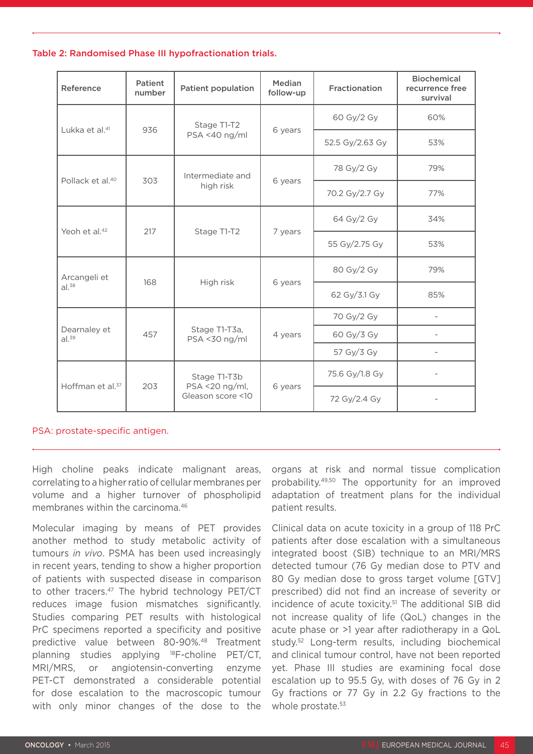#### Table 2: Randomised Phase III hypofractionation trials.

| Reference                    | Patient<br>number | <b>Patient population</b>                           | Median<br>follow-up | Fractionation   | <b>Biochemical</b><br>recurrence free<br>survival |
|------------------------------|-------------------|-----------------------------------------------------|---------------------|-----------------|---------------------------------------------------|
| Lukka et al. <sup>41</sup>   | 936               | Stage T1-T2<br>PSA <40 ng/ml                        | 6 years             | 60 Gy/2 Gy      | 60%                                               |
|                              |                   |                                                     |                     | 52.5 Gy/2.63 Gy | 53%                                               |
| Pollack et al. <sup>40</sup> | 303               | Intermediate and<br>high risk                       | 6 years             | 78 Gy/2 Gy      | 79%                                               |
|                              |                   |                                                     |                     | 70.2 Gy/2.7 Gy  | 77%                                               |
| Yeoh et al. <sup>42</sup>    | 217               | Stage T1-T2                                         | 7 years             | 64 Gy/2 Gy      | 34%                                               |
|                              |                   |                                                     |                     | 55 Gy/2.75 Gy   | 53%                                               |
| Arcangeli et<br>$al.^{38}$   | 168               | High risk                                           | 6 years             | 80 Gy/2 Gy      | 79%                                               |
|                              |                   |                                                     |                     | 62 Gy/3.1 Gy    | 85%                                               |
| Dearnaley et<br>$al.^{39}$   | 457               | Stage T1-T3a,<br>PSA <30 ng/ml                      | 4 years             | 70 Gy/2 Gy      |                                                   |
|                              |                   |                                                     |                     | 60 Gy/3 Gy      |                                                   |
|                              |                   |                                                     |                     | 57 Gy/3 Gy      |                                                   |
| Hoffman et al. <sup>37</sup> | 203               | Stage T1-T3b<br>PSA <20 ng/ml,<br>Gleason score <10 | 6 years             | 75.6 Gy/1.8 Gy  |                                                   |
|                              |                   |                                                     |                     | 72 Gy/2.4 Gy    |                                                   |

#### PSA: prostate-specific antigen.

High choline peaks indicate malignant areas, correlating to a higher ratio of cellular membranes per volume and a higher turnover of phospholipid membranes within the carcinoma.46

Molecular imaging by means of PET provides another method to study metabolic activity of tumours *in vivo*. PSMA has been used increasingly in recent years, tending to show a higher proportion of patients with suspected disease in comparison to other tracers.<sup>47</sup> The hybrid technology PET/CT reduces image fusion mismatches significantly. Studies comparing PET results with histological PrC specimens reported a specificity and positive predictive value between 80-90%.48 Treatment planning studies applying 18F-choline PET/CT, MRI/MRS, or angiotensin-converting enzyme PET-CT demonstrated a considerable potential for dose escalation to the macroscopic tumour with only minor changes of the dose to the

organs at risk and normal tissue complication probability.49,50 The opportunity for an improved adaptation of treatment plans for the individual patient results.

Clinical data on acute toxicity in a group of 118 PrC patients after dose escalation with a simultaneous integrated boost (SIB) technique to an MRI/MRS detected tumour (76 Gy median dose to PTV and 80 Gy median dose to gross target volume [GTV] prescribed) did not find an increase of severity or incidence of acute toxicity.51 The additional SIB did not increase quality of life (QoL) changes in the acute phase or >1 year after radiotherapy in a QoL study.52 Long-term results, including biochemical and clinical tumour control, have not been reported yet. Phase III studies are examining focal dose escalation up to 95.5 Gy, with doses of 76 Gy in 2 Gy fractions or 77 Gy in 2.2 Gy fractions to the whole prostate.<sup>53</sup>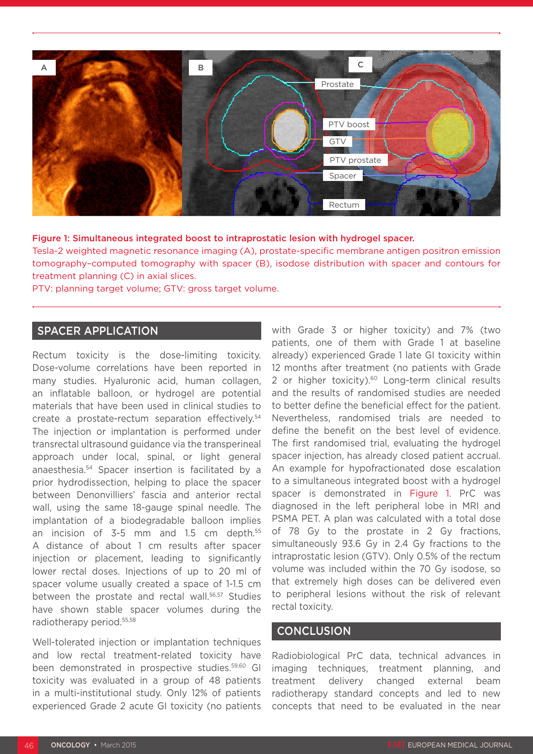

#### Figure 1: Simultaneous integrated boost to intraprostatic lesion with hydrogel spacer.

Tesla-2 weighted magnetic resonance imaging (A), prostate-specific membrane antigen positron emission tomography–computed tomography with spacer (B), isodose distribution with spacer and contours for treatment planning (C) in axial slices.

PTV: planning target volume; GTV: gross target volume.

## SPACER APPLICATION

Rectum toxicity is the dose-limiting toxicity. Dose-volume correlations have been reported in many studies. Hyaluronic acid, human collagen, an inflatable balloon, or hydrogel are potential materials that have been used in clinical studies to create a prostate-rectum separation effectively.54 The injection or implantation is performed under transrectal ultrasound guidance via the transperineal approach under local, spinal, or light general anaesthesia.54 Spacer insertion is facilitated by a prior hydrodissection, helping to place the spacer between Denonvilliers' fascia and anterior rectal wall, using the same 18-gauge spinal needle. The implantation of a biodegradable balloon implies an incision of 3-5 mm and 1.5 cm depth.<sup>55</sup> A distance of about 1 cm results after spacer injection or placement, leading to significantly lower rectal doses. Injections of up to 20 ml of spacer volume usually created a space of 1-1.5 cm between the prostate and rectal wall.<sup>56,57</sup> Studies have shown stable spacer volumes during the radiotherapy period.55,58

Well-tolerated injection or implantation techniques and low rectal treatment-related toxicity have been demonstrated in prospective studies.59,60 GI toxicity was evaluated in a group of 48 patients in a multi-institutional study. Only 12% of patients experienced Grade 2 acute GI toxicity (no patients with Grade 3 or higher toxicity) and 7% (two patients, one of them with Grade 1 at baseline already) experienced Grade 1 late GI toxicity within 12 months after treatment (no patients with Grade 2 or higher toxicity).<sup>60</sup> Long-term clinical results and the results of randomised studies are needed to better define the beneficial effect for the patient. Nevertheless, randomised trials are needed to define the benefit on the best level of evidence. The first randomised trial, evaluating the hydrogel spacer injection, has already closed patient accrual. An example for hypofractionated dose escalation to a simultaneous integrated boost with a hydrogel spacer is demonstrated in Figure 1. PrC was diagnosed in the left peripheral lobe in MRI and PSMA PET. A plan was calculated with a total dose of 78 Gy to the prostate in 2 Gy fractions, simultaneously 93.6 Gy in 2.4 Gy fractions to the intraprostatic lesion (GTV). Only 0.5% of the rectum volume was included within the 70 Gy isodose, so that extremely high doses can be delivered even to peripheral lesions without the risk of relevant rectal toxicity.

#### **CONCLUSION**

Radiobiological PrC data, technical advances in imaging techniques, treatment planning, and treatment delivery changed external beam radiotherapy standard concepts and led to new concepts that need to be evaluated in the near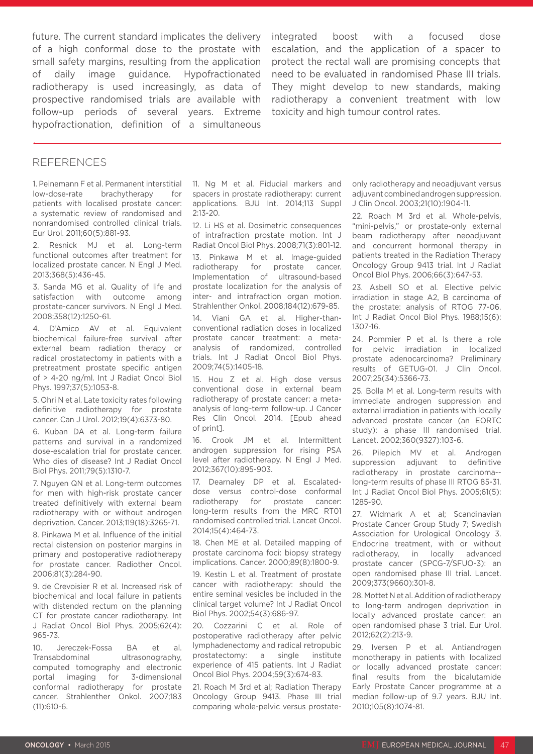future. The current standard implicates the delivery of a high conformal dose to the prostate with small safety margins, resulting from the application of daily image guidance. Hypofractionated radiotherapy is used increasingly, as data of prospective randomised trials are available with follow-up periods of several years. Extreme hypofractionation, definition of a simultaneous

integrated boost with a focused dose escalation, and the application of a spacer to protect the rectal wall are promising concepts that need to be evaluated in randomised Phase III trials. They might develop to new standards, making radiotherapy a convenient treatment with low toxicity and high tumour control rates.

#### REFERENCES

1. Peinemann F et al. Permanent interstitial low-dose-rate brachytherapy for patients with localised prostate cancer: a systematic review of randomised and nonrandomised controlled clinical trials. Eur Urol. 2011;60(5):881-93.

2. Resnick MJ et al. Long-term functional outcomes after treatment for localized prostate cancer. N Engl J Med. 2013;368(5):436-45.

3. Sanda MG et al. Quality of life and satisfaction with outcome among prostate-cancer survivors. N Engl J Med. 2008;358(12):1250-61.

4. D'Amico AV et al. Equivalent biochemical failure-free survival after external beam radiation therapy or radical prostatectomy in patients with a pretreatment prostate specific antigen of > 4-20 ng/ml. Int J Radiat Oncol Biol Phys. 1997;37(5):1053-8.

5. Ohri N et al. Late toxicity rates following definitive radiotherapy for prostate cancer. Can J Urol. 2012;19(4):6373-80.

6. Kuban DA et al. Long-term failure patterns and survival in a randomized dose-escalation trial for prostate cancer. Who dies of disease? Int J Radiat Oncol Biol Phys. 2011;79(5):1310-7.

7. Nguyen QN et al. Long-term outcomes for men with high-risk prostate cancer treated definitively with external beam radiotherapy with or without androgen deprivation. Cancer. 2013;119(18):3265-71.

8. Pinkawa M et al. Influence of the initial rectal distension on posterior margins in primary and postoperative radiotherapy for prostate cancer. Radiother Oncol. 2006;81(3):284-90.

9. de Crevoisier R et al. Increased risk of biochemical and local failure in patients with distended rectum on the planning CT for prostate cancer radiotherapy. Int J Radiat Oncol Biol Phys. 2005;62(4): 965-73.

10. Jereczek-Fossa BA et al. Transabdominal ultrasonography, computed tomography and electronic portal imaging for 3-dimensional conformal radiotherapy for prostate cancer. Strahlenther Onkol. 2007;183 (11):610-6.

11. Ng M et al. Fiducial markers and spacers in prostate radiotherapy: current applications. BJU Int. 2014;113 Suppl 2:13-20.

12. Li HS et al. Dosimetric consequences of intrafraction prostate motion. Int J Radiat Oncol Biol Phys. 2008;71(3):801-12. 13. Pinkawa M et al. Image-guided radiotherapy for prostate cancer. Implementation of ultrasound-based prostate localization for the analysis of inter- and intrafraction organ motion. Strahlenther Onkol. 2008;184(12):679-85.

14. Viani GA et al. Higher-thanconventional radiation doses in localized prostate cancer treatment: a metaanalysis of randomized, controlled trials. Int J Radiat Oncol Biol Phys. 2009;74(5):1405-18.

15. Hou Z et al. High dose versus conventional dose in external beam radiotherapy of prostate cancer: a metaanalysis of long-term follow-up. J Cancer Res Clin Oncol. 2014. [Epub ahead of print].

16. Crook JM et al. Intermittent androgen suppression for rising PSA level after radiotherapy. N Engl J Med. 2012;367(10):895-903.

17. Dearnaley DP et al. Escalateddose versus control-dose conformal radiotherapy for prostate cancer: long-term results from the MRC RT01 randomised controlled trial. Lancet Oncol. 2014;15(4):464-73.

18. Chen ME et al. Detailed mapping of prostate carcinoma foci: biopsy strategy implications. Cancer. 2000;89(8):1800-9.

19. Kestin L et al. Treatment of prostate cancer with radiotherapy: should the entire seminal vesicles be included in the clinical target volume? Int J Radiat Oncol Biol Phys. 2002;54(3):686-97.

20. Cozzarini C et al. Role of postoperative radiotherapy after pelvic lymphadenectomy and radical retropubic prostatectomy: a single institute experience of 415 patients. Int J Radiat Oncol Biol Phys. 2004;59(3):674-83.

21. Roach M 3rd et al; Radiation Therapy Oncology Group 9413. Phase III trial comparing whole-pelvic versus prostateonly radiotherapy and neoadjuvant versus adjuvant combined androgen suppression. J Clin Oncol. 2003;21(10):1904-11.

22. Roach M 3rd et al. Whole-pelvis, "mini-pelvis," or prostate-only external beam radiotherapy after neoadjuvant and concurrent hormonal therapy in patients treated in the Radiation Therapy Oncology Group 9413 trial. Int J Radiat Oncol Biol Phys. 2006;66(3):647-53.

23. Asbell SO et al. Elective pelvic irradiation in stage A2, B carcinoma of the prostate: analysis of RTOG 77-06. Int J Radiat Oncol Biol Phys. 1988;15(6): 1307-16.

24. Pommier P et al. Is there a role for pelvic irradiation in localized prostate adenocarcinoma? Preliminary results of GETUG-01. J Clin Oncol. 2007;25(34):5366-73.

25. Bolla M et al. Long-term results with immediate androgen suppression and external irradiation in patients with locally advanced prostate cancer (an EORTC study): a phase III randomised trial. Lancet. 2002;360(9327):103-6.

26. Pilepich MV et al. Androgen suppression adjuvant to definitive radiotherapy in prostate carcinoma- long-term results of phase III RTOG 85-31. Int J Radiat Oncol Biol Phys. 2005;61(5): 1285-90.

27. Widmark A et al; Scandinavian Prostate Cancer Group Study 7; Swedish Association for Urological Oncology 3. Endocrine treatment, with or without radiotherapy, in locally advanced prostate cancer (SPCG-7/SFUO-3): an open randomised phase III trial. Lancet. 2009;373(9660):301-8.

28. Mottet N et al. Addition of radiotherapy to long-term androgen deprivation in locally advanced prostate cancer: an open randomised phase 3 trial. Eur Urol. 2012;62(2):213-9.

29. Iversen P et al. Antiandrogen monotherapy in patients with localized or locally advanced prostate cancer: final results from the bicalutamide Early Prostate Cancer programme at a median follow-up of 9.7 years. BJU Int. 2010;105(8):1074-81.